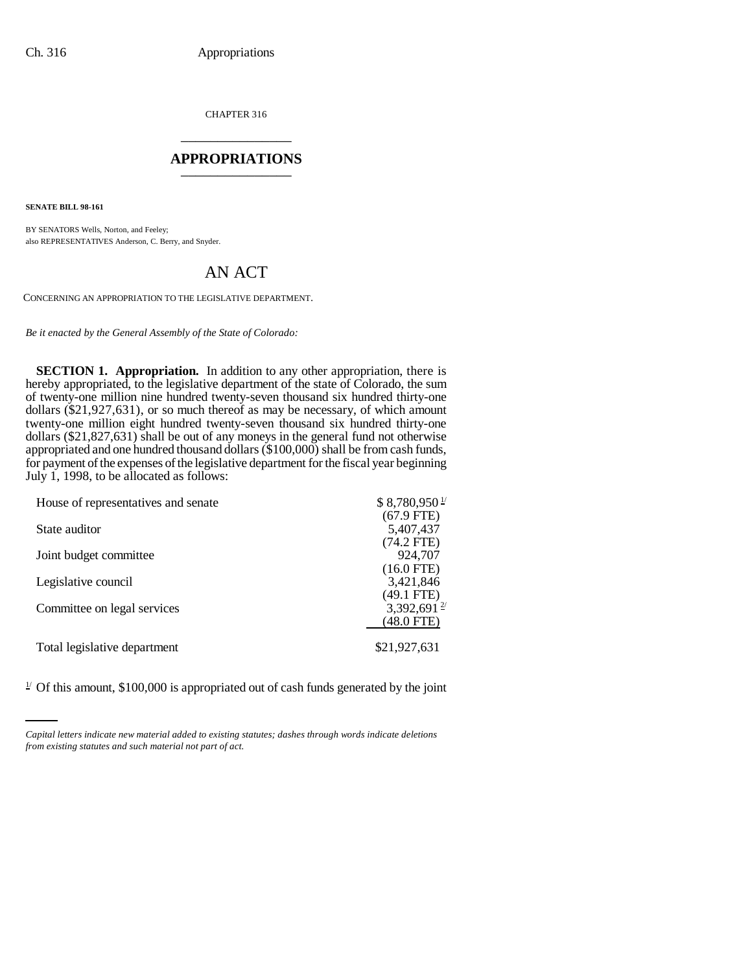CHAPTER 316 \_\_\_\_\_\_\_\_\_\_\_\_\_\_\_

## **APPROPRIATIONS** \_\_\_\_\_\_\_\_\_\_\_\_\_\_\_

**SENATE BILL 98-161**

BY SENATORS Wells, Norton, and Feeley; also REPRESENTATIVES Anderson, C. Berry, and Snyder.

## AN ACT

CONCERNING AN APPROPRIATION TO THE LEGISLATIVE DEPARTMENT.

*Be it enacted by the General Assembly of the State of Colorado:*

**SECTION 1. Appropriation.** In addition to any other appropriation, there is hereby appropriated, to the legislative department of the state of Colorado, the sum of twenty-one million nine hundred twenty-seven thousand six hundred thirty-one dollars (\$21,927,631), or so much thereof as may be necessary, of which amount twenty-one million eight hundred twenty-seven thousand six hundred thirty-one dollars (\$21,827,631) shall be out of any moneys in the general fund not otherwise appropriated and one hundred thousand dollars (\$100,000) shall be from cash funds, for payment of the expenses of the legislative department for the fiscal year beginning July 1, 1998, to be allocated as follows:

| House of representatives and senate | \$8,780,950 <sup>1/</sup> |
|-------------------------------------|---------------------------|
|                                     | $(67.9$ FTE)              |
| State auditor                       | 5,407,437                 |
|                                     | $(74.2$ FTE)              |
| Joint budget committee              | 924,707                   |
|                                     | $(16.0$ FTE)              |
| Legislative council                 | 3,421,846                 |
|                                     | $(49.1$ FTE)              |
| Committee on legal services         | 3,392,691 $\frac{2}{3}$   |
|                                     | (48.0 FTE)                |
| Total legislative department        | \$21,927,631              |
|                                     |                           |

 $1/2$  Of this amount, \$100,000 is appropriated out of cash funds generated by the joint

*Capital letters indicate new material added to existing statutes; dashes through words indicate deletions from existing statutes and such material not part of act.*